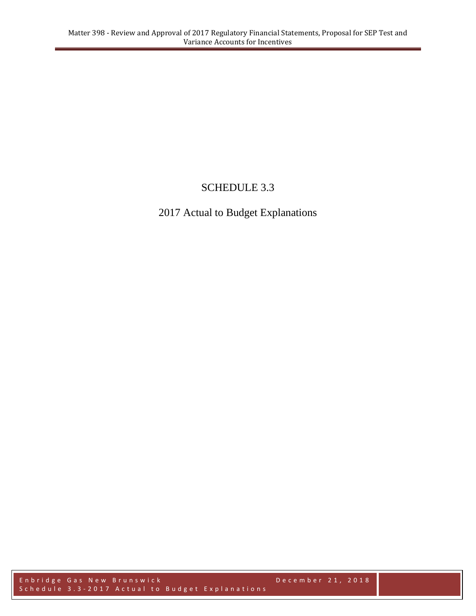# SCHEDULE 3.3

# 2017 Actual to Budget Explanations

Enbridge Gas New Brunswick **December 21, 2018** S c h e d u l e 3.3 - 2017 A c t u a l t o B u d g e t E x p l a n a t i o n s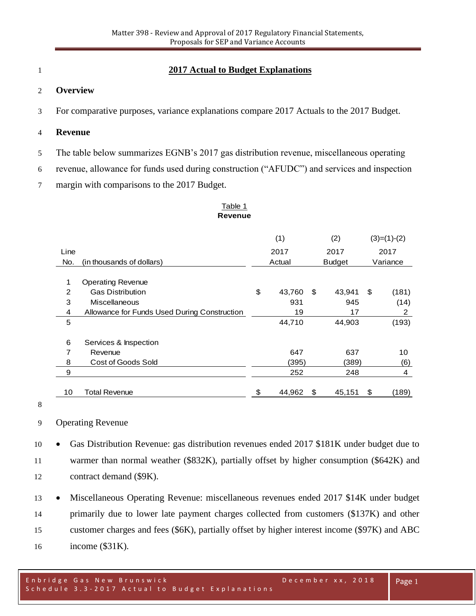# **2017 Actual to Budget Explanations**

#### **Overview**

For comparative purposes, variance explanations compare 2017 Actuals to the 2017 Budget.

#### **Revenue**

- The table below summarizes EGNB's 2017 gas distribution revenue, miscellaneous operating
- revenue, allowance for funds used during construction ("AFUDC") and services and inspection
- margin with comparisons to the 2017 Budget.

#### Table 1 **Revenue**

|      |                                              | (1)  |                         | (2) |          | $(3)=(1)-(2)$ |       |
|------|----------------------------------------------|------|-------------------------|-----|----------|---------------|-------|
| Line |                                              | 2017 |                         |     | 2017     |               | 2017  |
| No.  | (in thousands of dollars)                    |      | Actual<br><b>Budget</b> |     | Variance |               |       |
| 1    | <b>Operating Revenue</b>                     |      |                         |     |          |               |       |
| 2    | <b>Gas Distribution</b>                      | \$   | 43,760                  | \$  | 43,941   | \$            | (181) |
| 3    | Miscellaneous                                |      | 931                     |     | 945      |               | (14)  |
| 4    | Allowance for Funds Used During Construction |      | 19                      |     | 17       |               | 2     |
| 5    |                                              |      | 44,710                  |     | 44,903   |               | (193) |
| 6    | Services & Inspection                        |      |                         |     |          |               |       |
| 7    | Revenue                                      |      | 647                     |     | 637      |               | 10    |
| 8    | Cost of Goods Sold                           |      | (395)                   |     | (389)    |               | (6)   |
| 9    |                                              |      | 252                     |     | 248      |               | 4     |
| 10   | Total Revenue                                | \$   | 44,962                  | \$  | 45,151   | \$            | (189) |

# Operating Revenue

 Gas Distribution Revenue: gas distribution revenues ended 2017 \$181K under budget due to warmer than normal weather (\$832K), partially offset by higher consumption (\$642K) and contract demand (\$9K).

13 • Miscellaneous Operating Revenue: miscellaneous revenues ended 2017 \$14K under budget primarily due to lower late payment charges collected from customers (\$137K) and other customer charges and fees (\$6K), partially offset by higher interest income (\$97K) and ABC income (\$31K).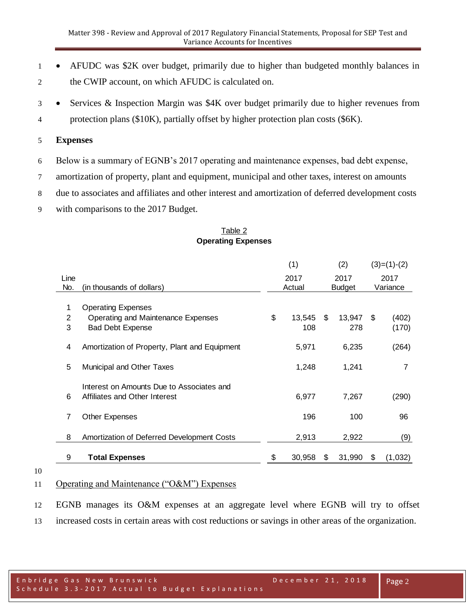- 1 AFUDC was \$2K over budget, primarily due to higher than budgeted monthly balances in 2 the CWIP account, on which AFUDC is calculated on.
- 3 Services & Inspection Margin was \$4K over budget primarily due to higher revenues from 4 protection plans (\$10K), partially offset by higher protection plan costs (\$6K).

# 5 **Expenses**

6 Below is a summary of EGNB's 2017 operating and maintenance expenses, bad debt expense,

7 amortization of property, plant and equipment, municipal and other taxes, interest on amounts

8 due to associates and affiliates and other interest and amortization of deferred development costs

9 with comparisons to the 2017 Budget.

### Table 2 **Operating Expenses**

|                                               | (1)                                                                                          |        | (2)                     |        | $(3)=(1)-(2)$                   |         |
|-----------------------------------------------|----------------------------------------------------------------------------------------------|--------|-------------------------|--------|---------------------------------|---------|
|                                               |                                                                                              |        |                         |        | 2017                            |         |
| (in thousands of dollars)                     |                                                                                              | Actual |                         |        | Variance                        |         |
|                                               |                                                                                              |        |                         |        |                                 |         |
| <b>Operating Expenses</b>                     |                                                                                              |        |                         |        |                                 |         |
| Operating and Maintenance Expenses            | \$                                                                                           | 13,545 | \$                      | 13,947 | - \$                            | (402)   |
| <b>Bad Debt Expense</b>                       |                                                                                              | 108    |                         | 278    |                                 | (170)   |
|                                               |                                                                                              |        |                         |        |                                 |         |
| Amortization of Property, Plant and Equipment |                                                                                              | 5,971  |                         | 6,235  |                                 | (264)   |
|                                               |                                                                                              |        |                         |        |                                 |         |
| Municipal and Other Taxes                     |                                                                                              | 1,248  |                         | 1,241  |                                 | 7       |
|                                               |                                                                                              |        |                         |        |                                 |         |
| Interest on Amounts Due to Associates and     |                                                                                              |        |                         |        |                                 |         |
| Affiliates and Other Interest                 |                                                                                              | 6,977  |                         | 7,267  |                                 | (290)   |
|                                               |                                                                                              |        |                         |        |                                 |         |
|                                               |                                                                                              | 196    |                         | 100    |                                 | 96      |
|                                               |                                                                                              |        |                         |        |                                 |         |
|                                               |                                                                                              |        |                         | 2,922  |                                 | (9)     |
|                                               |                                                                                              |        |                         |        |                                 |         |
|                                               | \$                                                                                           |        | \$                      |        | \$                              | (1,032) |
|                                               | <b>Other Expenses</b><br>Amortization of Deferred Development Costs<br><b>Total Expenses</b> |        | 2017<br>2,913<br>30,958 |        | 2017<br><b>Budget</b><br>31,990 |         |

10

# 11 Operating and Maintenance ("O&M") Expenses

12 EGNB manages its O&M expenses at an aggregate level where EGNB will try to offset

13 increased costs in certain areas with cost reductions or savings in other areas of the organization.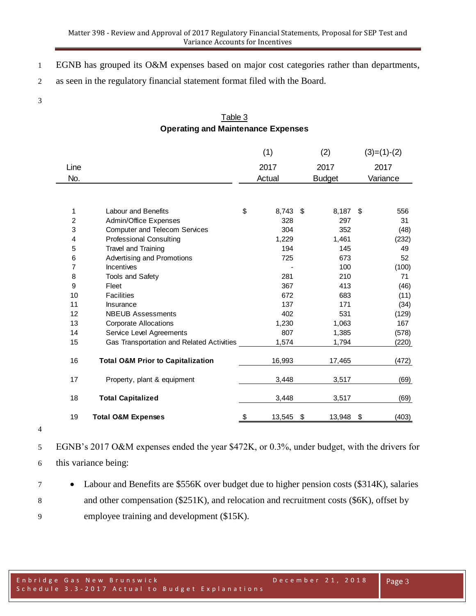- EGNB has grouped its O&M expenses based on major cost categories rather than departments,
- as seen in the regulatory financial statement format filed with the Board.
- 

# Table 3 **Operating and Maintenance Expenses**

|      |                                              | (1)          | (2)           |      | $(3)=(1)-(2)$ |
|------|----------------------------------------------|--------------|---------------|------|---------------|
| Line |                                              | 2017         | 2017          |      | 2017          |
| No.  |                                              | Actual       | <b>Budget</b> |      | Variance      |
|      |                                              |              |               |      |               |
| 1    | <b>Labour and Benefits</b>                   | \$<br>8,743  | \$<br>8,187   | - \$ | 556           |
| 2    | <b>Admin/Office Expenses</b>                 | 328          | 297           |      | 31            |
| 3    | <b>Computer and Telecom Services</b>         | 304          | 352           |      | (48)          |
| 4    | <b>Professional Consulting</b>               | 1,229        | 1,461         |      | (232)         |
| 5    | Travel and Training                          | 194          | 145           |      | 49            |
| 6    | Advertising and Promotions                   | 725          | 673           |      | 52            |
| 7    | <b>Incentives</b>                            |              | 100           |      | (100)         |
| 8    | <b>Tools and Safety</b>                      | 281          | 210           |      | 71            |
| 9    | Fleet                                        | 367          | 413           |      | (46)          |
| 10   | <b>Facilities</b>                            | 672          | 683           |      | (11)          |
| 11   | Insurance                                    | 137          | 171           |      | (34)          |
| 12   | <b>NBEUB Assessments</b>                     | 402          | 531           |      | (129)         |
| 13   | <b>Corporate Allocations</b>                 | 1,230        | 1,063         |      | 167           |
| 14   | Service Level Agreements                     | 807          | 1,385         |      | (578)         |
| 15   | Gas Transportation and Related Activities    | 1,574        | 1,794         |      | (220)         |
| 16   | <b>Total O&amp;M Prior to Capitalization</b> | 16,993       | 17,465        |      | (472)         |
| 17   | Property, plant & equipment                  | 3,448        | 3,517         |      | (69)          |
| 18   | <b>Total Capitalized</b>                     | 3,448        | 3,517         |      | (69)          |
| 19   | <b>Total O&amp;M Expenses</b>                | \$<br>13,545 | \$<br>13,948  | \$   | (403)         |

 EGNB's 2017 O&M expenses ended the year \$472K, or 0.3%, under budget, with the drivers for this variance being:

 Labour and Benefits are \$556K over budget due to higher pension costs (\$314K), salaries 8 and other compensation (\$251K), and relocation and recruitment costs (\$6K), offset by employee training and development (\$15K).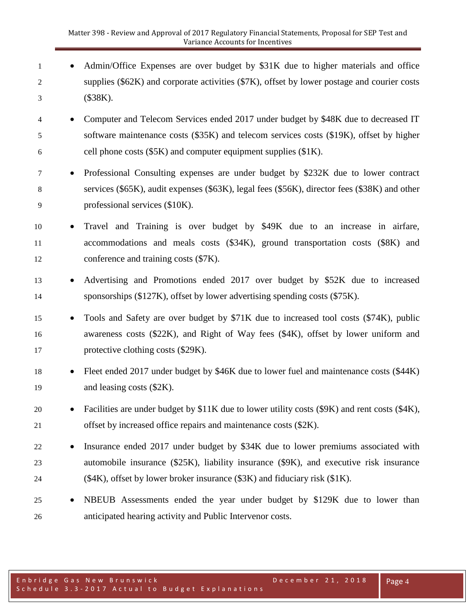- 1 Admin/Office Expenses are over budget by \$31K due to higher materials and office 2 supplies (\$62K) and corporate activities (\$7K), offset by lower postage and courier costs 3 (\$38K).
- 4 Computer and Telecom Services ended 2017 under budget by \$48K due to decreased IT 5 software maintenance costs (\$35K) and telecom services costs (\$19K), offset by higher 6 cell phone costs  $(\$5K)$  and computer equipment supplies  $(\$1K)$ .
- 7 Professional Consulting expenses are under budget by \$232K due to lower contract 8 services (\$65K), audit expenses (\$63K), legal fees (\$56K), director fees (\$38K) and other 9 professional services (\$10K).
- 10 Travel and Training is over budget by \$49K due to an increase in airfare, 11 accommodations and meals costs (\$34K), ground transportation costs (\$8K) and 12 conference and training costs (\$7K).
- 13 Advertising and Promotions ended 2017 over budget by \$52K due to increased 14 sponsorships (\$127K), offset by lower advertising spending costs (\$75K).
- 15 Tools and Safety are over budget by \$71K due to increased tool costs (\$74K), public 16 awareness costs (\$22K), and Right of Way fees (\$4K), offset by lower uniform and 17 protective clothing costs (\$29K).
- 18 Fleet ended 2017 under budget by \$46K due to lower fuel and maintenance costs (\$44K) 19 and leasing costs (\$2K).
- 20 Facilities are under budget by  $$11K$  due to lower utility costs ( $$9K$ ) and rent costs ( $$4K$ ), 21 offset by increased office repairs and maintenance costs (\$2K).
- 22 Insurance ended 2017 under budget by \$34K due to lower premiums associated with 23 automobile insurance (\$25K), liability insurance (\$9K), and executive risk insurance 24 (\$4K), offset by lower broker insurance (\$3K) and fiduciary risk (\$1K).
- 25 NBEUB Assessments ended the year under budget by \$129K due to lower than 26 anticipated hearing activity and Public Intervenor costs.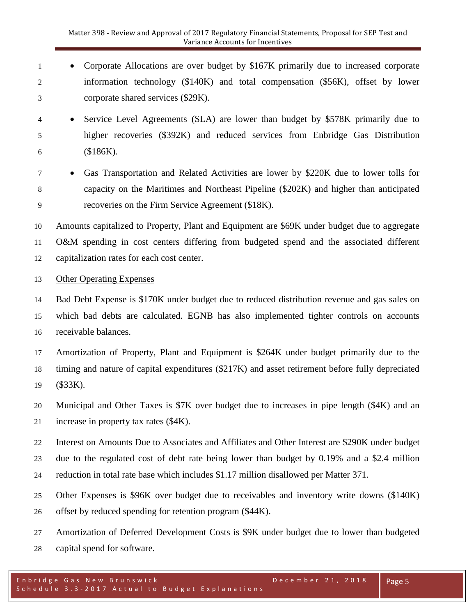- 1 Corporate Allocations are over budget by \$167K primarily due to increased corporate information technology (\$140K) and total compensation (\$56K), offset by lower corporate shared services (\$29K).
- Service Level Agreements (SLA) are lower than budget by \$578K primarily due to higher recoveries (\$392K) and reduced services from Enbridge Gas Distribution (\$186K).
- Gas Transportation and Related Activities are lower by \$220K due to lower tolls for capacity on the Maritimes and Northeast Pipeline (\$202K) and higher than anticipated recoveries on the Firm Service Agreement (\$18K).

 Amounts capitalized to Property, Plant and Equipment are \$69K under budget due to aggregate O&M spending in cost centers differing from budgeted spend and the associated different capitalization rates for each cost center.

# Other Operating Expenses

 Bad Debt Expense is \$170K under budget due to reduced distribution revenue and gas sales on which bad debts are calculated. EGNB has also implemented tighter controls on accounts receivable balances.

 Amortization of Property, Plant and Equipment is \$264K under budget primarily due to the timing and nature of capital expenditures (\$217K) and asset retirement before fully depreciated (\$33K).

 Municipal and Other Taxes is \$7K over budget due to increases in pipe length (\$4K) and an increase in property tax rates (\$4K).

- Interest on Amounts Due to Associates and Affiliates and Other Interest are \$290K under budget due to the regulated cost of debt rate being lower than budget by 0.19% and a \$2.4 million reduction in total rate base which includes \$1.17 million disallowed per Matter 371.
- Other Expenses is \$96K over budget due to receivables and inventory write downs (\$140K) offset by reduced spending for retention program (\$44K).
- Amortization of Deferred Development Costs is \$9K under budget due to lower than budgeted capital spend for software.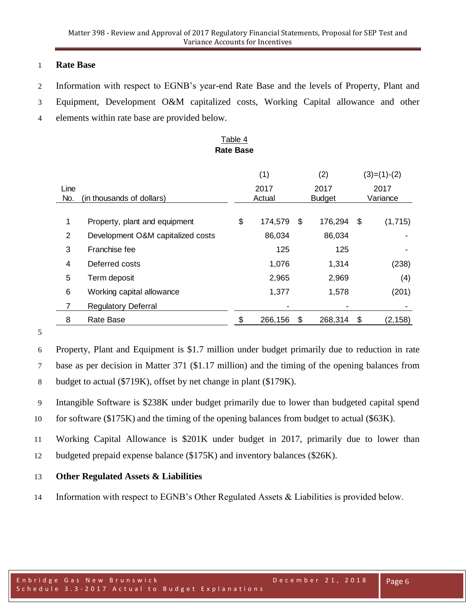# **Rate Base**

- Information with respect to EGNB's year-end Rate Base and the levels of Property, Plant and
- Equipment, Development O&M capitalized costs, Working Capital allowance and other
- elements within rate base are provided below.

### Table 4 **Rate Base**

|      |                                   | (1)           |    | (2)           |      | $(3)=(1)-(2)$ |
|------|-----------------------------------|---------------|----|---------------|------|---------------|
| Line |                                   | 2017          |    | 2017          |      | 2017          |
| No.  | (in thousands of dollars)         | Actual        |    | <b>Budget</b> |      | Variance      |
| 1    | Property, plant and equipment     | \$<br>174,579 | \$ | 176,294       | - \$ | (1,715)       |
| 2    | Development O&M capitalized costs | 86,034        |    | 86,034        |      |               |
| 3    | Franchise fee                     | 125           |    | 125           |      |               |
| 4    | Deferred costs                    | 1,076         |    | 1,314         |      | (238)         |
| 5    | Term deposit                      | 2,965         |    | 2,969         |      | (4)           |
| 6    | Working capital allowance         | 1,377         |    | 1,578         |      | (201)         |
|      | <b>Regulatory Deferral</b>        |               |    |               |      |               |
| 8    | Rate Base                         | 266,156       | S  | 268,314       | \$   | (2, 158)      |

#### 

 Property, Plant and Equipment is \$1.7 million under budget primarily due to reduction in rate base as per decision in Matter 371 (\$1.17 million) and the timing of the opening balances from budget to actual (\$719K), offset by net change in plant (\$179K).

- Intangible Software is \$238K under budget primarily due to lower than budgeted capital spend for software (\$175K) and the timing of the opening balances from budget to actual (\$63K).
- Working Capital Allowance is \$201K under budget in 2017, primarily due to lower than budgeted prepaid expense balance (\$175K) and inventory balances (\$26K).

# **Other Regulated Assets & Liabilities**

Information with respect to EGNB's Other Regulated Assets & Liabilities is provided below.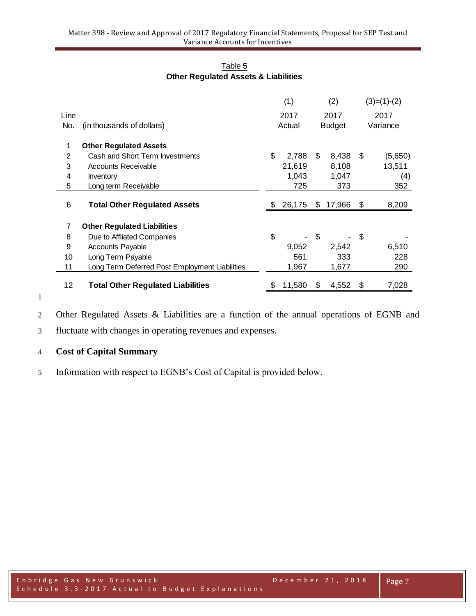| Table 5                                         |
|-------------------------------------------------|
| <b>Other Regulated Assets &amp; Liabilities</b> |

|      |                                                | (1)  |        | (2)           |        | $(3)=(1)-(2)$ |         |
|------|------------------------------------------------|------|--------|---------------|--------|---------------|---------|
| Line |                                                | 2017 |        | 2017          |        | 2017          |         |
| No.  | (in thousands of dollars)                      |      | Actual | <b>Budget</b> |        | Variance      |         |
|      |                                                |      |        |               |        |               |         |
| 1    | <b>Other Regulated Assets</b>                  |      |        |               |        |               |         |
| 2    | Cash and Short Term Investments                | \$   | 2,788  | \$.           | 8,438  | \$            | (5,650) |
| 3    | Accounts Receivable                            |      | 21,619 |               | 8,108  |               | 13,511  |
| 4    | Inventory                                      |      | 1,043  |               | 1,047  |               | (4)     |
| 5    | Long term Receivable                           |      | 725    |               | 373    |               | 352     |
| 6    | <b>Total Other Regulated Assets</b>            | \$   | 26,175 | S.            | 17,966 | \$            | 8,209   |
|      |                                                |      |        |               |        |               |         |
| 7    | <b>Other Regulated Liabilities</b>             |      |        |               |        |               |         |
| 8    | Due to Affliated Companies                     | \$   |        | \$            |        | \$            |         |
| 9    | <b>Accounts Payable</b>                        |      | 9,052  |               | 2,542  |               | 6,510   |
| 10   | Long Term Payable                              |      | 561    |               | 333    |               | 228     |
| 11   | Long Term Deferred Post Employment Liabilities |      | 1,967  |               | 1,677  |               | 290     |
|      |                                                |      |        |               |        |               |         |
| 12   | <b>Total Other Regulated Liabilities</b>       | S    | 11,580 | S             | 4,552  | \$            | 7,028   |

Other Regulated Assets & Liabilities are a function of the annual operations of EGNB and

fluctuate with changes in operating revenues and expenses.

# **Cost of Capital Summary**

Information with respect to EGNB's Cost of Capital is provided below.